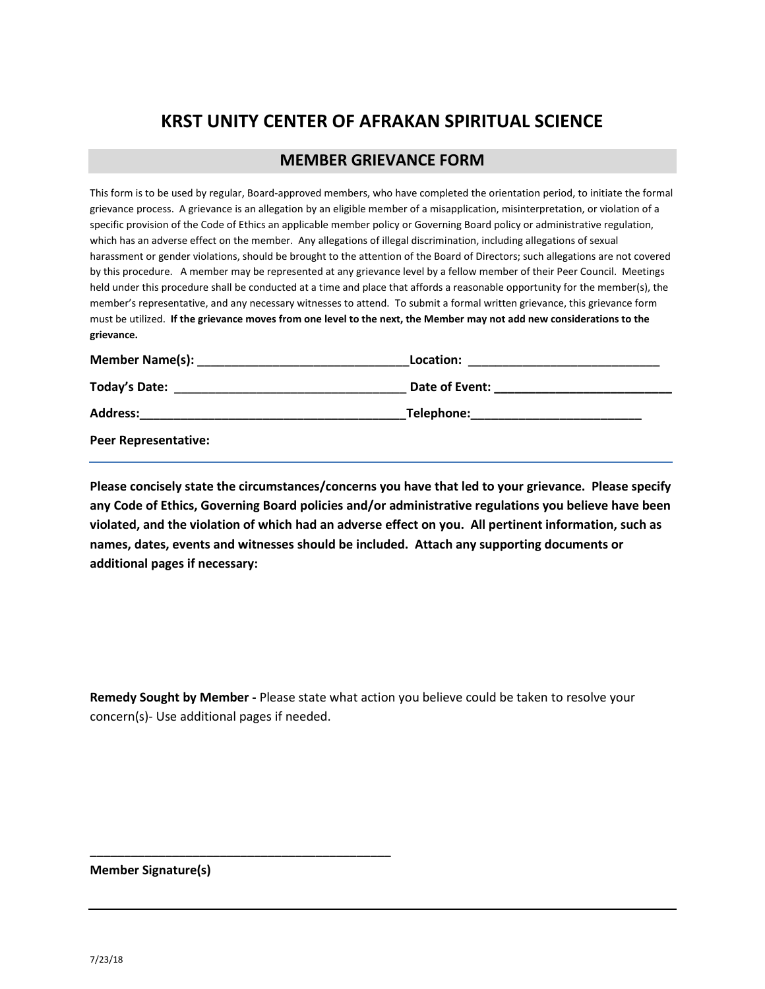# **KRST UNITY CENTER OF AFRAKAN SPIRITUAL SCIENCE**

# **MEMBER GRIEVANCE FORM**

This form is to be used by regular, Board-approved members, who have completed the orientation period, to initiate the formal grievance process. A grievance is an allegation by an eligible member of a misapplication, misinterpretation, or violation of a specific provision of the Code of Ethics an applicable member policy or Governing Board policy or administrative regulation, which has an adverse effect on the member. Any allegations of illegal discrimination, including allegations of sexual harassment or gender violations, should be brought to the attention of the Board of Directors; such allegations are not covered by this procedure. A member may be represented at any grievance level by a fellow member of their Peer Council. Meetings held under this procedure shall be conducted at a time and place that affords a reasonable opportunity for the member(s), the member's representative, and any necessary witnesses to attend. To submit a formal written grievance, this grievance form must be utilized. **If the grievance moves from one level to the next, the Member may not add new considerations to the grievance.**

| <b>Member Name(s):</b><br><u> 1980 - Johann John Stein, mars eta biztanleria (</u> | Location:<br><u> 1980 - John Stone, Amerikaansk politiker († 1901)</u>                                                                                                                                                              |
|------------------------------------------------------------------------------------|-------------------------------------------------------------------------------------------------------------------------------------------------------------------------------------------------------------------------------------|
|                                                                                    | Date of Event:<br><u> 1980 - Jan Stein Stein Stein Stein Stein Stein Stein Stein Stein Stein Stein Stein Stein Stein Stein Stein S</u>                                                                                              |
| <b>Address:</b>                                                                    | <b>Telephone:</b> The contract of the contract of the contract of the contract of the contract of the contract of the contract of the contract of the contract of the contract of the contract of the contract of the contract of t |
| <b>Peer Representative:</b>                                                        |                                                                                                                                                                                                                                     |

**Please concisely state the circumstances/concerns you have that led to your grievance. Please specify any Code of Ethics, Governing Board policies and/or administrative regulations you believe have been violated, and the violation of which had an adverse effect on you. All pertinent information, such as names, dates, events and witnesses should be included. Attach any supporting documents or additional pages if necessary:**

**Remedy Sought by Member -** Please state what action you believe could be taken to resolve your concern(s)- Use additional pages if needed.

**Member Signature(s)**

**\_\_\_\_\_\_\_\_\_\_\_\_\_\_\_\_\_\_\_\_\_\_\_\_\_\_\_\_\_\_\_\_\_\_\_\_\_\_\_\_\_\_\_\_**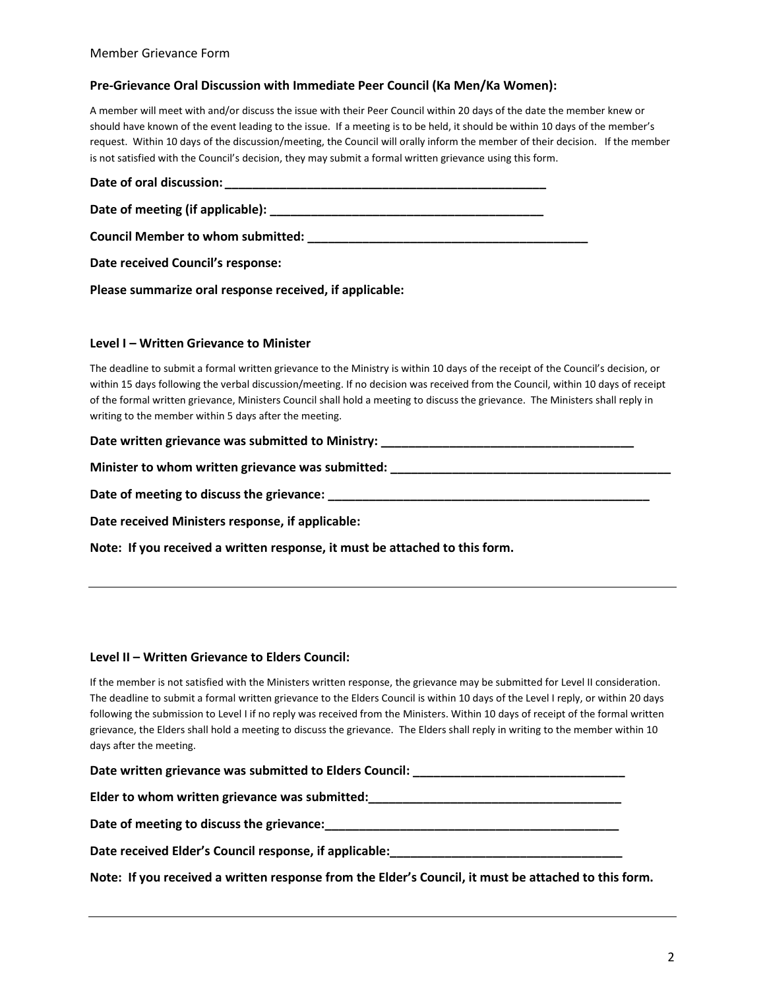# **Pre-Grievance Oral Discussion with Immediate Peer Council (Ka Men/Ka Women):**

A member will meet with and/or discuss the issue with their Peer Council within 20 days of the date the member knew or should have known of the event leading to the issue. If a meeting is to be held, it should be within 10 days of the member's request. Within 10 days of the discussion/meeting, the Council will orally inform the member of their decision. If the member is not satisfied with the Council's decision, they may submit a formal written grievance using this form.

| Date received Council's response:                       |  |
|---------------------------------------------------------|--|
| Please summarize oral response received, if applicable: |  |

# **Level I – Written Grievance to Minister**

| The deadline to submit a formal written grievance to the Ministry is within 10 days of the receipt of the Council's decision, or |
|----------------------------------------------------------------------------------------------------------------------------------|
| within 15 days following the verbal discussion/meeting. If no decision was received from the Council, within 10 days of receipt  |
| of the formal written grievance, Ministers Council shall hold a meeting to discuss the grievance. The Ministers shall reply in   |
| writing to the member within 5 days after the meeting.                                                                           |

| Date written grievance was submitted to Ministry: |  |
|---------------------------------------------------|--|
|                                                   |  |

**Minister to whom written grievance was submitted: \_\_\_\_\_\_\_\_\_\_\_\_\_\_\_\_\_\_\_\_\_\_\_\_\_\_\_\_\_\_\_\_\_\_\_\_\_\_\_\_\_**

**Date of meeting to discuss the grievance: \_\_\_\_\_\_\_\_\_\_\_\_\_\_\_\_\_\_\_\_\_\_\_\_\_\_\_\_\_\_\_\_\_\_\_\_\_\_\_\_\_\_\_\_\_\_\_**

**Date received Ministers response, if applicable:**

**Note: If you received a written response, it must be attached to this form.**

# **Level II – Written Grievance to Elders Council:**

If the member is not satisfied with the Ministers written response, the grievance may be submitted for Level II consideration. The deadline to submit a formal written grievance to the Elders Council is within 10 days of the Level I reply, or within 20 days following the submission to Level I if no reply was received from the Ministers. Within 10 days of receipt of the formal written grievance, the Elders shall hold a meeting to discuss the grievance. The Elders shall reply in writing to the member within 10 days after the meeting.

| Date written grievance was submitted to Elders Council: |  |
|---------------------------------------------------------|--|
|                                                         |  |

**Elder to whom written grievance was submitted:\_\_\_\_\_\_\_\_\_\_\_\_\_\_\_\_\_\_\_\_\_\_\_\_\_\_\_\_\_\_\_\_\_\_\_\_\_**

**Date of meeting to discuss the grievance:\_\_\_\_\_\_\_\_\_\_\_\_\_\_\_\_\_\_\_\_\_\_\_\_\_\_\_\_\_\_\_\_\_\_\_\_\_\_\_\_\_\_\_**

**Date received Elder's Council response, if applicable:\_\_\_\_\_\_\_\_\_\_\_\_\_\_\_\_\_\_\_\_\_\_\_\_\_\_\_\_\_\_\_\_\_\_**

**Note: If you received a written response from the Elder's Council, it must be attached to this form.**